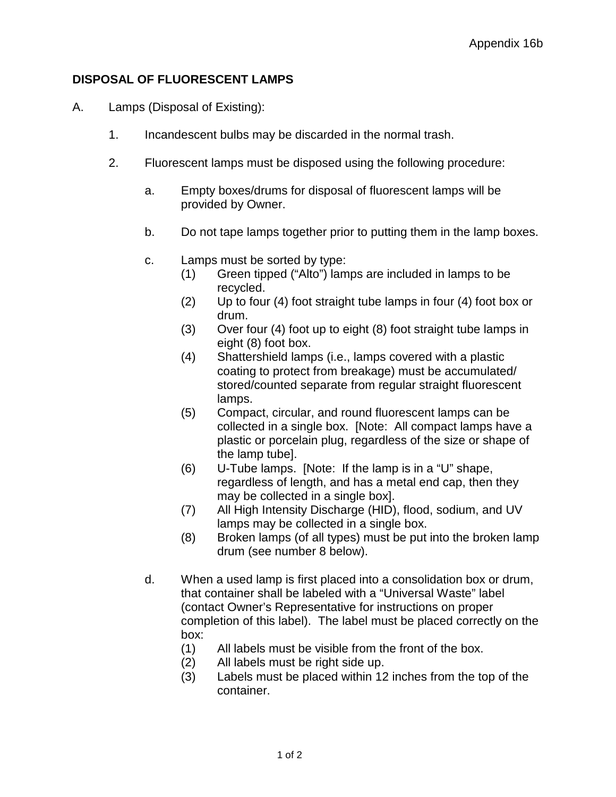## **DISPOSAL OF FLUORESCENT LAMPS**

- A. Lamps (Disposal of Existing):
	- 1. Incandescent bulbs may be discarded in the normal trash.
	- 2. Fluorescent lamps must be disposed using the following procedure:
		- a. Empty boxes/drums for disposal of fluorescent lamps will be provided by Owner.
		- b. Do not tape lamps together prior to putting them in the lamp boxes.
		- c. Lamps must be sorted by type:
			- (1) Green tipped ("Alto") lamps are included in lamps to be recycled.
			- (2) Up to four (4) foot straight tube lamps in four (4) foot box or drum.
			- (3) Over four (4) foot up to eight (8) foot straight tube lamps in eight (8) foot box.
			- (4) Shattershield lamps (i.e., lamps covered with a plastic coating to protect from breakage) must be accumulated/ stored/counted separate from regular straight fluorescent lamps.
			- (5) Compact, circular, and round fluorescent lamps can be collected in a single box. [Note: All compact lamps have a plastic or porcelain plug, regardless of the size or shape of the lamp tube].
			- (6) U-Tube lamps. [Note: If the lamp is in a "U" shape, regardless of length, and has a metal end cap, then they may be collected in a single box].
			- (7) All High Intensity Discharge (HID), flood, sodium, and UV lamps may be collected in a single box.
			- (8) Broken lamps (of all types) must be put into the broken lamp drum (see number 8 below).
		- d. When a used lamp is first placed into a consolidation box or drum, that container shall be labeled with a "Universal Waste" label (contact Owner's Representative for instructions on proper completion of this label). The label must be placed correctly on the box:
			- (1) All labels must be visible from the front of the box.
			- (2) All labels must be right side up.
			- (3) Labels must be placed within 12 inches from the top of the container.